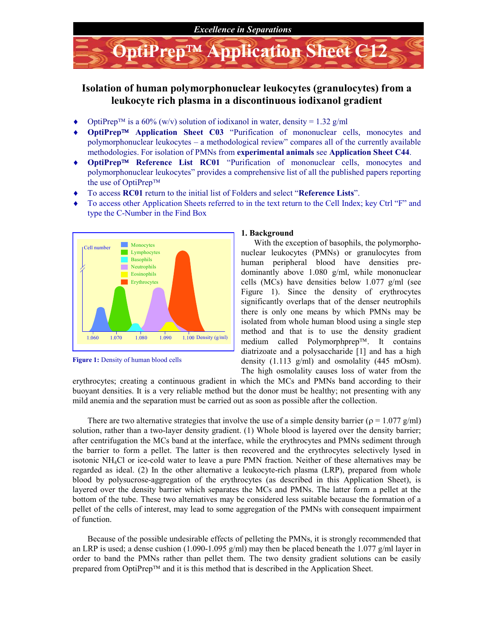

# Isolation of human polymorphonuclear leukocytes (granulocytes) from a leukocyte rich plasma in a discontinuous iodixanol gradient

- $\blacklozenge$  OptiPrep<sup>TM</sup> is a 60% (w/v) solution of iodixanol in water, density = 1.32 g/ml
- ◆ OptiPrep<sup>TM</sup> Application Sheet C03 "Purification of mononuclear cells, monocytes and polymorphonuclear leukocytes – a methodological review" compares all of the currently available methodologies. For isolation of PMNs from experimental animals see Application Sheet C44.
- OptiPrep<sup>TM</sup> Reference List RC01 "Purification of mononuclear cells, monocytes and polymorphonuclear leukocytes" provides a comprehensive list of all the published papers reporting the use of OptiPrep™
- ◆ To access RC01 return to the initial list of Folders and select "Reference Lists".
- To access other Application Sheets referred to in the text return to the Cell Index; key Ctrl "F" and type the C-Number in the Find Box





### 1. Background

With the exception of basophils, the polymorphonuclear leukocytes (PMNs) or granulocytes from human peripheral blood have densities predominantly above 1.080 g/ml, while mononuclear cells (MCs) have densities below 1.077 g/ml (see Figure 1). Since the density of erythrocytes significantly overlaps that of the denser neutrophils there is only one means by which PMNs may be isolated from whole human blood using a single step method and that is to use the density gradient medium called Polymorphprep<sup>TM</sup>. It contains diatrizoate and a polysaccharide [1] and has a high density  $(1.113 \text{ g/ml})$  and osmolality  $(445 \text{ mOsm})$ . The high osmolality causes loss of water from the

erythrocytes; creating a continuous gradient in which the MCs and PMNs band according to their buoyant densities. It is a very reliable method but the donor must be healthy; not presenting with any mild anemia and the separation must be carried out as soon as possible after the collection.

There are two alternative strategies that involve the use of a simple density barrier ( $\rho = 1.077$  g/ml) solution, rather than a two-layer density gradient. (1) Whole blood is layered over the density barrier; after centrifugation the MCs band at the interface, while the erythrocytes and PMNs sediment through the barrier to form a pellet. The latter is then recovered and the erythrocytes selectively lysed in isotonic NH4Cl or ice-cold water to leave a pure PMN fraction. Neither of these alternatives may be regarded as ideal. (2) In the other alternative a leukocyte-rich plasma (LRP), prepared from whole blood by polysucrose-aggregation of the erythrocytes (as described in this Application Sheet), is layered over the density barrier which separates the MCs and PMNs. The latter form a pellet at the bottom of the tube. These two alternatives may be considered less suitable because the formation of a pellet of the cells of interest, may lead to some aggregation of the PMNs with consequent impairment of function.

Because of the possible undesirable effects of pelleting the PMNs, it is strongly recommended that an LRP is used; a dense cushion  $(1.090-1.095 \text{ g/ml})$  may then be placed beneath the 1.077 g/ml layer in order to band the PMNs rather than pellet them. The two density gradient solutions can be easily prepared from OptiPrep<sup>TM</sup> and it is this method that is described in the Application Sheet.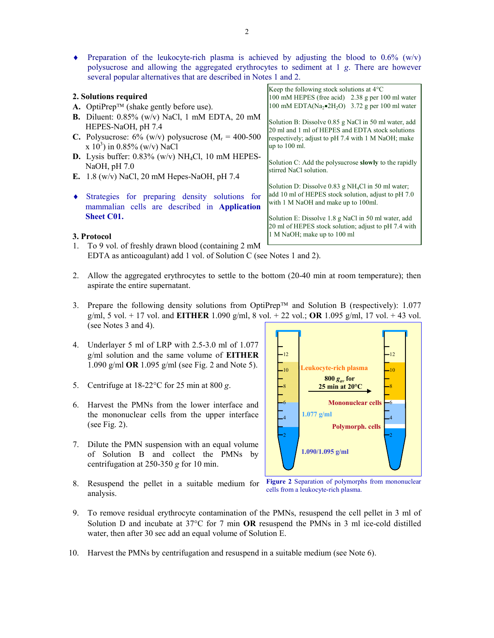Preparation of the leukocyte-rich plasma is achieved by adjusting the blood to  $0.6\%$  (w/v) polysucrose and allowing the aggregated erythrocytes to sediment at 1 g. There are however several popular alternatives that are described in Notes 1 and 2.

|                       |                                                                                                                                                                                       | Keep the following stock solutions at $4^{\circ}$ C                                                                                                                                |
|-----------------------|---------------------------------------------------------------------------------------------------------------------------------------------------------------------------------------|------------------------------------------------------------------------------------------------------------------------------------------------------------------------------------|
| 2. Solutions required |                                                                                                                                                                                       | 100 mM HEPES (free acid) 2.38 g per 100 ml water                                                                                                                                   |
|                       | <b>A.</b> OptiPrep <sup>TM</sup> (shake gently before use).                                                                                                                           | 100 mM EDTA(Na <sub>2</sub> $\bullet$ 2H <sub>2</sub> O) 3.72 g per 100 ml water                                                                                                   |
|                       | <b>B.</b> Diluent: $0.85\%$ (w/v) NaCl, 1 mM EDTA, 20 mM<br>HEPES-NaOH, pH 7.4<br>C. Polysucrose: $6\%$ (w/v) polysucrose (M <sub>r</sub> = 400-500<br>x $10^3$ ) in 0.85% (w/v) NaCl | Solution B: Dissolve 0.85 g NaCl in 50 ml water, add<br>20 ml and 1 ml of HEPES and EDTA stock solutions<br>respectively; adjust to pH 7.4 with 1 M NaOH; make<br>$\mu$ to 100 ml. |
|                       | <b>D.</b> Lysis buffer: $0.83\%$ (w/v) NH <sub>4</sub> Cl, 10 mM HEPES-<br>NaOH, pH 7.0<br>E. 1.8 (w/v) NaCl, 20 mM Hepes-NaOH, pH 7.4                                                | Solution C: Add the polysucrose <b>slowly</b> to the rapidly<br>stirred NaCl solution.                                                                                             |
|                       | Strategies for preparing density solutions for<br>mammalian cells are described in Application                                                                                        | Solution D: Dissolve $0.83$ g NH <sub>4</sub> Cl in 50 ml water;<br>add 10 ml of HEPES stock solution, adjust to pH 7.0<br>with 1 M NaOH and make up to 100ml.                     |
|                       | <b>Sheet C01.</b><br>3. Protocol                                                                                                                                                      | Solution E: Dissolve 1.8 g NaCl in 50 ml water, add<br>20 ml of HEPES stock solution; adjust to pH 7.4 with<br>1 M NaOH; make up to 100 ml                                         |
|                       | 1. To 9 vol. of freshly drawn blood (containing 2 mM                                                                                                                                  |                                                                                                                                                                                    |

- EDTA as anticoagulant) add 1 vol. of Solution C (see Notes 1 and 2).
- 2. Allow the aggregated erythrocytes to settle to the bottom (20-40 min at room temperature); then aspirate the entire supernatant.
- 3. Prepare the following density solutions from OptiPrep<sup>TM</sup> and Solution B (respectively): 1.077 g/ml, 5 vol. + 17 vol. and **EITHER** 1.090 g/ml, 8 vol. + 22 vol.; **OR** 1.095 g/ml, 17 vol. + 43 vol. (see Notes 3 and 4).
- 4. Underlayer 5 ml of LRP with 2.5-3.0 ml of 1.077 g/ml solution and the same volume of EITHER 1.090 g/ml OR 1.095 g/ml (see Fig. 2 and Note 5).
- 5. Centrifuge at  $18-22$ °C for 25 min at 800 g.
- 6. Harvest the PMNs from the lower interface and the mononuclear cells from the upper interface (see Fig. 2).
- 7. Dilute the PMN suspension with an equal volume of Solution B and collect the PMNs by centrifugation at 250-350 g for 10 min.
- 8. Resuspend the pellet in a suitable medium for Figure 2 Separation of polymorphs from mononuclear analysis.



cells from a leukocyte-rich plasma.

- 9. To remove residual erythrocyte contamination of the PMNs, resuspend the cell pellet in 3 ml of Solution D and incubate at  $37^{\circ}$ C for 7 min **OR** resuspend the PMNs in 3 ml ice-cold distilled water, then after 30 sec add an equal volume of Solution E.
- 10. Harvest the PMNs by centrifugation and resuspend in a suitable medium (see Note 6).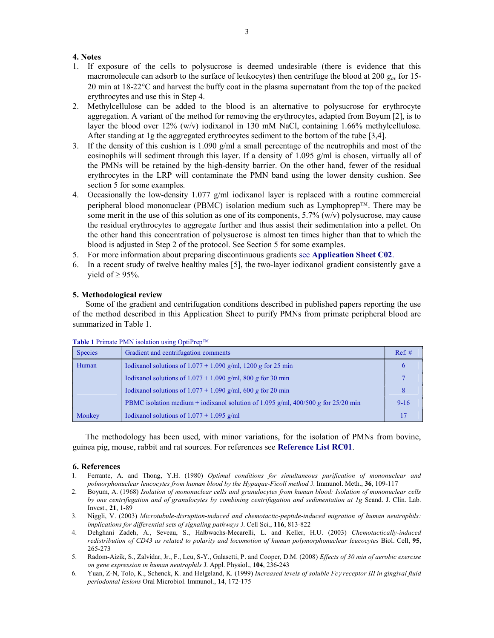# 4. Notes

- 1. If exposure of the cells to polysucrose is deemed undesirable (there is evidence that this macromolecule can adsorb to the surface of leukocytes) then centrifuge the blood at 200  $g_{av}$  for 15-20 min at  $18-22$ °C and harvest the buffy coat in the plasma supernatant from the top of the packed erythrocytes and use this in Step 4.
- 2. Methylcellulose can be added to the blood is an alternative to polysucrose for erythrocyte aggregation. A variant of the method for removing the erythrocytes, adapted from Boyum [2], is to layer the blood over 12% (w/v) iodixanol in 130 mM NaCl, containing 1.66% methylcellulose. After standing at 1g the aggregated erythrocytes sediment to the bottom of the tube [3,4].
- 3. If the density of this cushion is 1.090 g/ml a small percentage of the neutrophils and most of the eosinophils will sediment through this layer. If a density of 1.095 g/ml is chosen, virtually all of the PMNs will be retained by the high-density barrier. On the other hand, fewer of the residual erythrocytes in the LRP will contaminate the PMN band using the lower density cushion. See section 5 for some examples.
- 4. Occasionally the low-density  $1.077$  g/ml iodixanol layer is replaced with a routine commercial peripheral blood mononuclear (PBMC) isolation medium such as Lymphoprep<sup>TM</sup>. There may be some merit in the use of this solution as one of its components,  $5.7\%$  (w/v) polysucrose, may cause the residual erythrocytes to aggregate further and thus assist their sedimentation into a pellet. On the other hand this concentration of polysucrose is almost ten times higher than that to which the blood is adjusted in Step 2 of the protocol. See Section 5 for some examples.
- 5. For more information about preparing discontinuous gradients see Application Sheet C02.
- 6. In a recent study of twelve healthy males [5], the two-layer iodixanol gradient consistently gave a yield of  $\geq$  95%.

# 5. Methodological review

Some of the gradient and centrifugation conditions described in published papers reporting the use of the method described in this Application Sheet to purify PMNs from primate peripheral blood are summarized in Table 1.

| <b>THOIC T</b> THINK THIS BORGON GOING OPHITOP |                                                                                   |           |  |
|------------------------------------------------|-----------------------------------------------------------------------------------|-----------|--|
| <b>Species</b>                                 | Gradient and centrifugation comments                                              | $Ref. \#$ |  |
| Human                                          | Iodixanol solutions of $1.077 + 1.090$ g/ml, 1200 g for 25 min                    |           |  |
|                                                | Iodixanol solutions of $1.077 + 1.090$ g/ml, 800 g for 30 min                     |           |  |
|                                                | Iodixanol solutions of $1.077 + 1.090$ g/ml, 600 g for 20 min                     | 8         |  |
|                                                | PBMC isolation medium + iodixanol solution of 1.095 g/ml, 400/500 g for 25/20 min | $9-16$    |  |
| Monkey                                         | Iodixanol solutions of $1.077 + 1.095$ g/ml                                       |           |  |

#### Table 1 Primate PMN isolation using OptiPrepTM

The methodology has been used, with minor variations, for the isolation of PMNs from bovine, guinea pig, mouse, rabbit and rat sources. For references see Reference List RC01.

#### 6. References

- 1. Ferrante, A. and Thong, Y.H. (1980) Optimal conditions for simultaneous purification of mononuclear and polmorphonuclear leucocytes from human blood by the Hypaque-Ficoll method J. Immunol. Meth., 36, 109-117
- 2. Boyum, A. (1968) Isolation of mononuclear cells and granulocytes from human blood: Isolation of mononuclear cells by one centrifugation and of granulocytes by combining centrifugation and sedimentation at 1g Scand. J. Clin. Lab. Invest., 21, 1-89
- 3. Niggli, V. (2003) Microtubule-disruption-induced and chemotactic-peptide-induced migration of human neutrophils: implications for differential sets of signaling pathways J. Cell Sci., 116, 813-822
- 4. Dehghani Zadeh, A., Seveau, S., Halbwachs-Mecarelli, L. and Keller, H.U. (2003) Chemotactically-induced redistribution of CD43 as related to polarity and locomotion of human polymorphonuclear leucocytes Biol. Cell, 95, 265-273
- 5. Radom-Aizik, S., Zalvidar, Jr., F., Leu, S-Y., Galasetti, P. and Cooper, D.M. (2008) Effects of 30 min of aerobic exercise on gene expression in human neutrophils J. Appl. Physiol., 104, 236-243
- 6. Yuan, Z-N, Tolo, K., Schenck, K. and Helgeland, K. (1999) Increased levels of soluble Fc y receptor III in gingival fluid periodontal lesions Oral Microbiol. Immunol., 14, 172-175